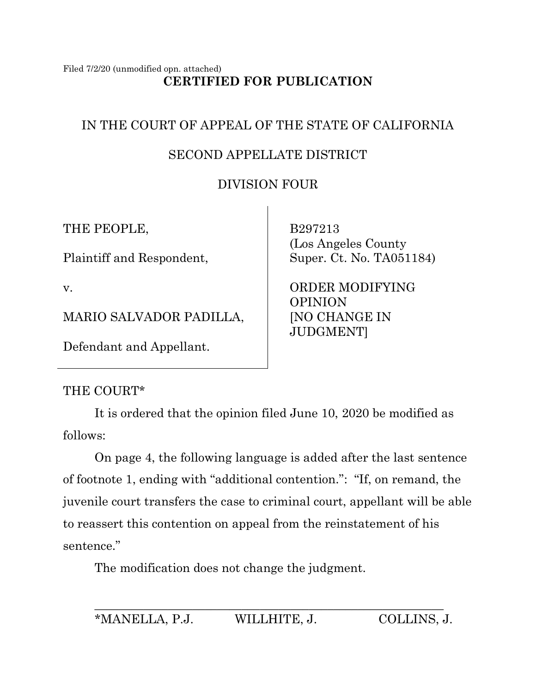#### Filed 7/2/20 (unmodified opn. attached) **CERTIFIED FOR PUBLICATION**

# IN THE COURT OF APPEAL OF THE STATE OF CALIFORNIA

# SECOND APPELLATE DISTRICT

# DIVISION FOUR

THE PEOPLE,

Plaintiff and Respondent,

v.

MARIO SALVADOR PADILLA,

Defendant and Appellant.

 B297213 (Los Angeles County Super. Ct. No. TA051184)

 ORDER MODIFYING OPINION [NO CHANGE IN JUDGMENT]

## THE COURT\*

It is ordered that the opinion filed June 10, 2020 be modified as follows:

On page 4, the following language is added after the last sentence of footnote 1, ending with "additional contention.": "If, on remand, the juvenile court transfers the case to criminal court, appellant will be able to reassert this contention on appeal from the reinstatement of his sentence."

The modification does not change the judgment.

\_\_\_\_\_\_\_\_\_\_\_\_\_\_\_\_\_\_\_\_\_\_\_\_\_\_\_\_\_\_\_\_\_\_\_\_\_\_\_\_\_\_\_\_\_\_\_\_\_\_\_\_\_\_\_\_\_ \*MANELLA, P.J. WILLHITE, J. COLLINS, J.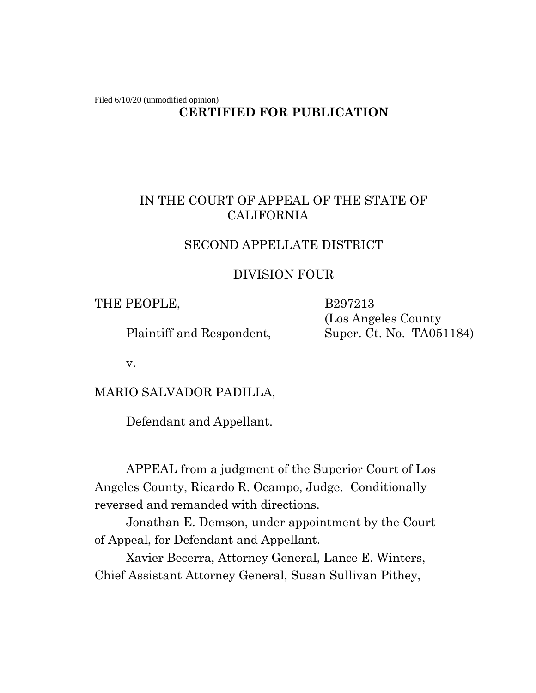Filed 6/10/20 (unmodified opinion)

## **CERTIFIED FOR PUBLICATION**

## IN THE COURT OF APPEAL OF THE STATE OF CALIFORNIA

### SECOND APPELLATE DISTRICT

### DIVISION FOUR

THE PEOPLE,

Plaintiff and Respondent,

 B297213 (Los Angeles County Super. Ct. No. TA051184)

v.

MARIO SALVADOR PADILLA,

Defendant and Appellant.

APPEAL from a judgment of the Superior Court of Los Angeles County, Ricardo R. Ocampo, Judge. Conditionally reversed and remanded with directions.

Jonathan E. Demson, under appointment by the Court of Appeal, for Defendant and Appellant.

Xavier Becerra, Attorney General, Lance E. Winters, Chief Assistant Attorney General, Susan Sullivan Pithey,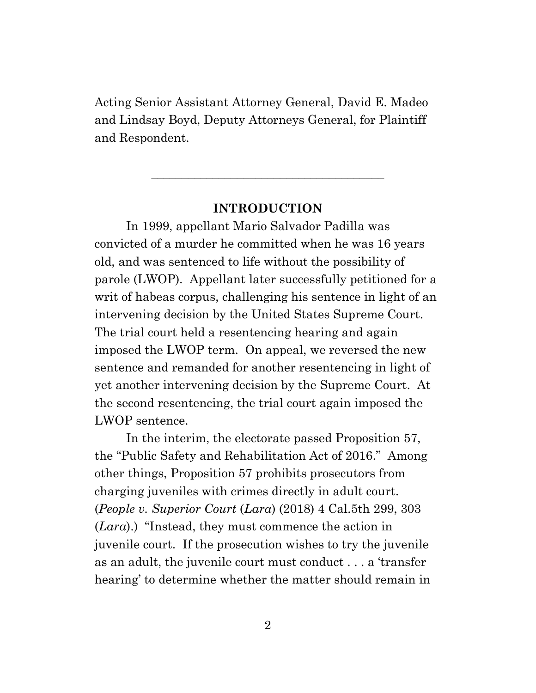Acting Senior Assistant Attorney General, David E. Madeo and Lindsay Boyd, Deputy Attorneys General, for Plaintiff and Respondent.

#### **INTRODUCTION**

**\_\_\_\_\_\_\_\_\_\_\_\_\_\_\_\_\_\_\_\_\_\_\_\_\_\_\_\_\_\_\_\_\_\_\_\_\_\_**

In 1999, appellant Mario Salvador Padilla was convicted of a murder he committed when he was 16 years old, and was sentenced to life without the possibility of parole (LWOP). Appellant later successfully petitioned for a writ of habeas corpus, challenging his sentence in light of an intervening decision by the United States Supreme Court. The trial court held a resentencing hearing and again imposed the LWOP term. On appeal, we reversed the new sentence and remanded for another resentencing in light of yet another intervening decision by the Supreme Court. At the second resentencing, the trial court again imposed the LWOP sentence.

In the interim, the electorate passed Proposition 57, the "Public Safety and Rehabilitation Act of 2016." Among other things, Proposition 57 prohibits prosecutors from charging juveniles with crimes directly in adult court. (*People v. Superior Court* (*Lara*) (2018) 4 Cal.5th 299, 303 (*Lara*).) "Instead, they must commence the action in juvenile court. If the prosecution wishes to try the juvenile as an adult, the juvenile court must conduct . . . a 'transfer hearing' to determine whether the matter should remain in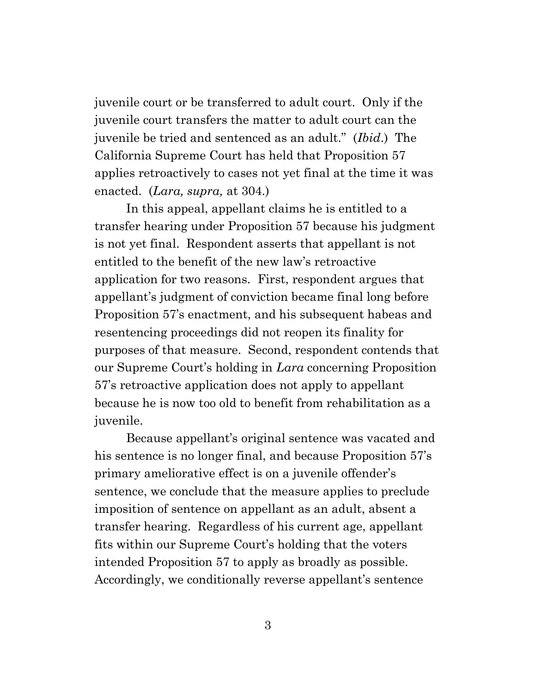juvenile court or be transferred to adult court. Only if the juvenile court transfers the matter to adult court can the juvenile be tried and sentenced as an adult." (*Ibid*.) The California Supreme Court has held that Proposition 57 applies retroactively to cases not yet final at the time it was enacted. (*Lara, supra,* at 304.)

In this appeal, appellant claims he is entitled to a transfer hearing under Proposition 57 because his judgment is not yet final. Respondent asserts that appellant is not entitled to the benefit of the new law's retroactive application for two reasons. First, respondent argues that appellant's judgment of conviction became final long before Proposition 57's enactment, and his subsequent habeas and resentencing proceedings did not reopen its finality for purposes of that measure. Second, respondent contends that our Supreme Court's holding in *Lara* concerning Proposition 57's retroactive application does not apply to appellant because he is now too old to benefit from rehabilitation as a juvenile.

Because appellant's original sentence was vacated and his sentence is no longer final, and because Proposition 57's primary ameliorative effect is on a juvenile offender's sentence, we conclude that the measure applies to preclude imposition of sentence on appellant as an adult, absent a transfer hearing. Regardless of his current age, appellant fits within our Supreme Court's holding that the voters intended Proposition 57 to apply as broadly as possible. Accordingly, we conditionally reverse appellant's sentence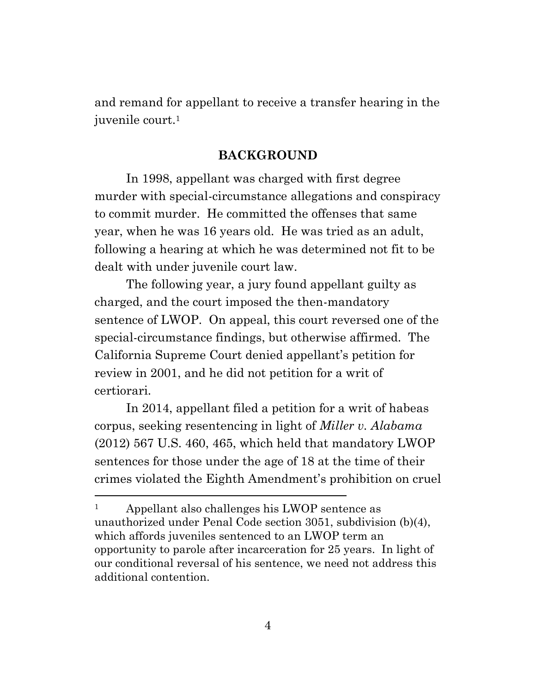and remand for appellant to receive a transfer hearing in the juvenile court.<sup>1</sup>

#### **BACKGROUND**

In 1998, appellant was charged with first degree murder with special-circumstance allegations and conspiracy to commit murder. He committed the offenses that same year, when he was 16 years old. He was tried as an adult, following a hearing at which he was determined not fit to be dealt with under juvenile court law.

The following year, a jury found appellant guilty as charged, and the court imposed the then-mandatory sentence of LWOP. On appeal, this court reversed one of the special-circumstance findings, but otherwise affirmed. The California Supreme Court denied appellant's petition for review in 2001, and he did not petition for a writ of certiorari.

In 2014, appellant filed a petition for a writ of habeas corpus, seeking resentencing in light of *Miller v. Alabama* (2012) 567 U.S. 460, 465, which held that mandatory LWOP sentences for those under the age of 18 at the time of their crimes violated the Eighth Amendment's prohibition on cruel

<sup>&</sup>lt;sup>1</sup> Appellant also challenges his LWOP sentence as unauthorized under Penal Code section 3051, subdivision (b)(4), which affords juveniles sentenced to an LWOP term an opportunity to parole after incarceration for 25 years. In light of our conditional reversal of his sentence, we need not address this additional contention.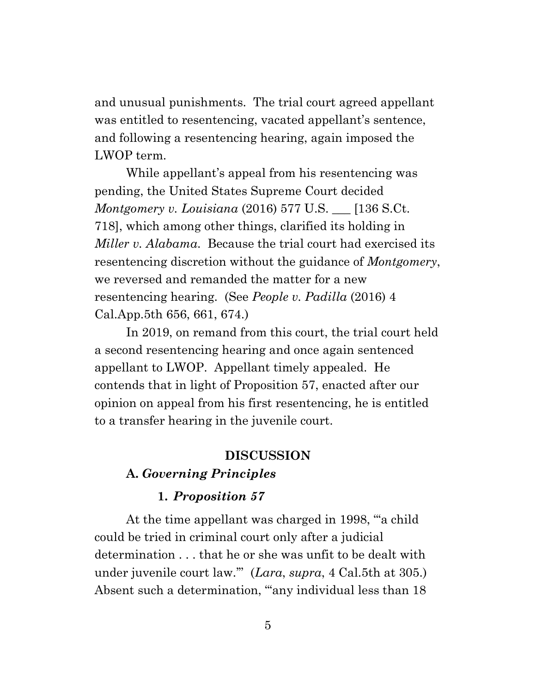and unusual punishments. The trial court agreed appellant was entitled to resentencing, vacated appellant's sentence, and following a resentencing hearing, again imposed the LWOP term.

While appellant's appeal from his resentencing was pending, the United States Supreme Court decided *Montgomery v. Louisiana* (2016) 577 U.S. \_\_\_ [136 S.Ct. 718], which among other things, clarified its holding in *Miller v. Alabama*. Because the trial court had exercised its resentencing discretion without the guidance of *Montgomery*, we reversed and remanded the matter for a new resentencing hearing. (See *People v. Padilla* (2016) 4 Cal.App.5th 656, 661, 674.)

In 2019, on remand from this court, the trial court held a second resentencing hearing and once again sentenced appellant to LWOP. Appellant timely appealed. He contends that in light of Proposition 57, enacted after our opinion on appeal from his first resentencing, he is entitled to a transfer hearing in the juvenile court.

#### **DISCUSSION**

### **A.** *Governing Principles*

#### **1.** *Proposition 57*

At the time appellant was charged in 1998, "'a child could be tried in criminal court only after a judicial determination . . . that he or she was unfit to be dealt with under juvenile court law.'" (*Lara*, *supra*, 4 Cal.5th at 305.) Absent such a determination, "any individual less than 18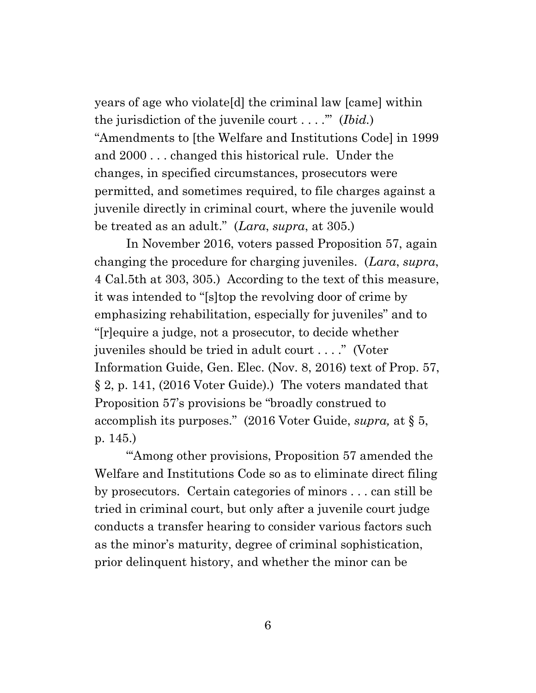years of age who violate[d] the criminal law [came] within the jurisdiction of the juvenile court . . . .'" (*Ibid.*) "Amendments to [the Welfare and Institutions Code] in 1999 and 2000 . . . changed this historical rule. Under the changes, in specified circumstances, prosecutors were permitted, and sometimes required, to file charges against a juvenile directly in criminal court, where the juvenile would be treated as an adult." (*Lara*, *supra*, at 305.)

In November 2016, voters passed Proposition 57, again changing the procedure for charging juveniles. (*Lara*, *supra*, 4 Cal.5th at 303, 305.) According to the text of this measure, it was intended to "[s]top the revolving door of crime by emphasizing rehabilitation, especially for juveniles" and to "[r]equire a judge, not a prosecutor, to decide whether juveniles should be tried in adult court . . . ." (Voter Information Guide, Gen. Elec. (Nov. 8, 2016) text of Prop. 57, § 2, p. 141, (2016 Voter Guide).) The voters mandated that Proposition 57's provisions be "broadly construed to accomplish its purposes." (2016 Voter Guide, *supra,* at § 5, p. 145.)

""Among other provisions, Proposition 57 amended the Welfare and Institutions Code so as to eliminate direct filing by prosecutors. Certain categories of minors . . . can still be tried in criminal court, but only after a juvenile court judge conducts a transfer hearing to consider various factors such as the minor's maturity, degree of criminal sophistication, prior delinquent history, and whether the minor can be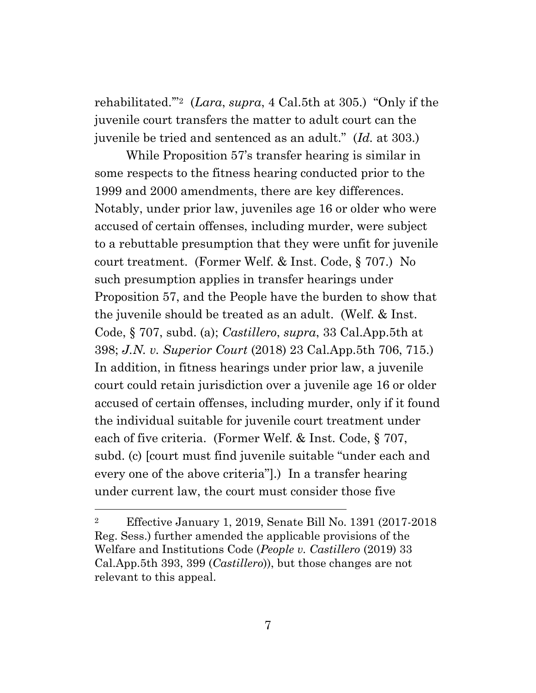rehabilitated.'"2 (*Lara*, *supra*, 4 Cal.5th at 305.) "Only if the juvenile court transfers the matter to adult court can the juvenile be tried and sentenced as an adult." (*Id.* at 303.)

While Proposition 57's transfer hearing is similar in some respects to the fitness hearing conducted prior to the 1999 and 2000 amendments, there are key differences. Notably, under prior law, juveniles age 16 or older who were accused of certain offenses, including murder, were subject to a rebuttable presumption that they were unfit for juvenile court treatment. (Former Welf. & Inst. Code, § 707.) No such presumption applies in transfer hearings under Proposition 57, and the People have the burden to show that the juvenile should be treated as an adult. (Welf. & Inst. Code, § 707, subd. (a); *Castillero*, *supra*, 33 Cal.App.5th at 398; *J.N. v. Superior Court* (2018) 23 Cal.App.5th 706, 715.) In addition, in fitness hearings under prior law, a juvenile court could retain jurisdiction over a juvenile age 16 or older accused of certain offenses, including murder, only if it found the individual suitable for juvenile court treatment under each of five criteria. (Former Welf. & Inst. Code, § 707, subd. (c) [court must find juvenile suitable "under each and every one of the above criteria"].) In a transfer hearing under current law, the court must consider those five

<sup>2</sup> Effective January 1, 2019, Senate Bill No. 1391 (2017-2018 Reg. Sess.) further amended the applicable provisions of the Welfare and Institutions Code (*People v. Castillero* (2019) 33 Cal.App.5th 393, 399 (*Castillero*)), but those changes are not relevant to this appeal.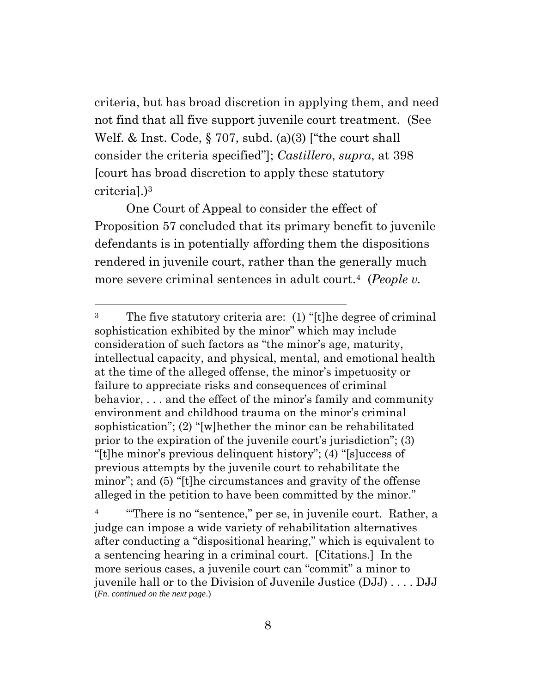criteria, but has broad discretion in applying them, and need not find that all five support juvenile court treatment. (See Welf. & Inst. Code, § 707, subd. (a)(3) ["the court shall consider the criteria specified"]; *Castillero*, *supra*, at 398 [court has broad discretion to apply these statutory criteria].)<sup>3</sup>

One Court of Appeal to consider the effect of Proposition 57 concluded that its primary benefit to juvenile defendants is in potentially affording them the dispositions rendered in juvenile court, rather than the generally much more severe criminal sentences in adult court.4 (*People v.*

<sup>&</sup>lt;sup>3</sup> The five statutory criteria are: (1) "[t]he degree of criminal sophistication exhibited by the minor" which may include consideration of such factors as "the minor's age, maturity, intellectual capacity, and physical, mental, and emotional health at the time of the alleged offense, the minor's impetuosity or failure to appreciate risks and consequences of criminal behavior, . . . and the effect of the minor's family and community environment and childhood trauma on the minor's criminal sophistication"; (2) "[w]hether the minor can be rehabilitated prior to the expiration of the juvenile court's jurisdiction"; (3) "[t]he minor's previous delinquent history"; (4) "[s]uccess of previous attempts by the juvenile court to rehabilitate the minor"; and (5) "[t]he circumstances and gravity of the offense alleged in the petition to have been committed by the minor."

<sup>&</sup>quot;There is no "sentence," per se, in juvenile court. Rather, a judge can impose a wide variety of rehabilitation alternatives after conducting a "dispositional hearing," which is equivalent to a sentencing hearing in a criminal court. [Citations.] In the more serious cases, a juvenile court can "commit" a minor to juvenile hall or to the Division of Juvenile Justice (DJJ) . . . . DJJ (*Fn. continued on the next page*.)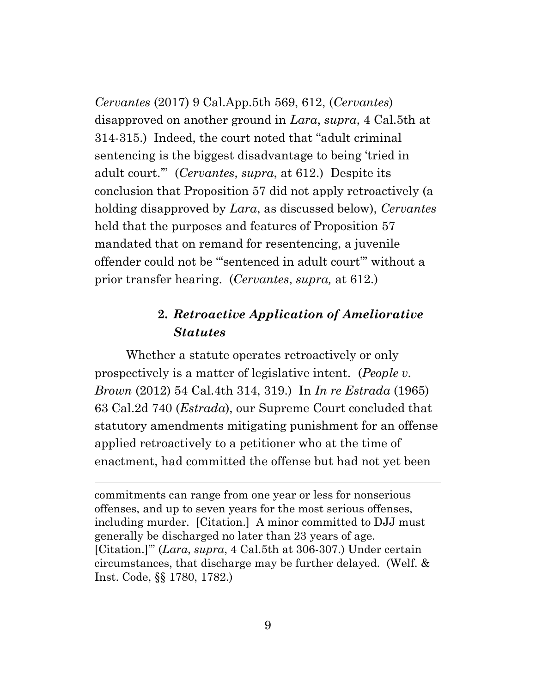*Cervantes* (2017) 9 Cal.App.5th 569, 612, (*Cervantes*) disapproved on another ground in *Lara*, *supra*, 4 Cal.5th at 314-315.) Indeed, the court noted that "adult criminal sentencing is the biggest disadvantage to being 'tried in adult court.'" (*Cervantes*, *supra*, at 612.) Despite its conclusion that Proposition 57 did not apply retroactively (a holding disapproved by *Lara*, as discussed below), *Cervantes* held that the purposes and features of Proposition 57 mandated that on remand for resentencing, a juvenile offender could not be "'sentenced in adult court'" without a prior transfer hearing. (*Cervantes*, *supra,* at 612.)

## **2.** *Retroactive Application of Ameliorative Statutes*

Whether a statute operates retroactively or only prospectively is a matter of legislative intent. (*People v. Brown* (2012) 54 Cal.4th 314, 319.) In *In re Estrada* (1965) 63 Cal.2d 740 (*Estrada*), our Supreme Court concluded that statutory amendments mitigating punishment for an offense applied retroactively to a petitioner who at the time of enactment, had committed the offense but had not yet been

commitments can range from one year or less for nonserious offenses, and up to seven years for the most serious offenses, including murder. [Citation.] A minor committed to DJJ must generally be discharged no later than 23 years of age. [Citation.]'" (*Lara*, *supra*, 4 Cal.5th at 306-307.) Under certain circumstances, that discharge may be further delayed. (Welf. & Inst. Code, §§ 1780, 1782.)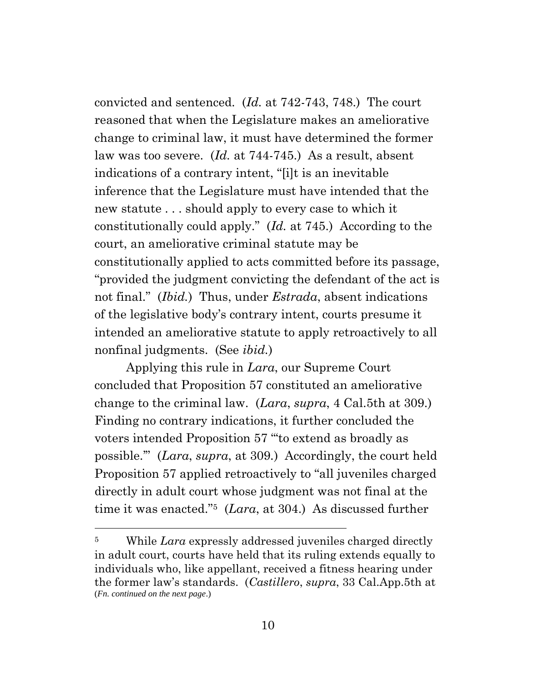convicted and sentenced. (*Id.* at 742-743, 748.) The court reasoned that when the Legislature makes an ameliorative change to criminal law, it must have determined the former law was too severe. (*Id.* at 744-745.) As a result, absent indications of a contrary intent, "[i]t is an inevitable inference that the Legislature must have intended that the new statute . . . should apply to every case to which it constitutionally could apply." (*Id.* at 745.) According to the court, an ameliorative criminal statute may be constitutionally applied to acts committed before its passage, "provided the judgment convicting the defendant of the act is not final." (*Ibid.*) Thus, under *Estrada*, absent indications of the legislative body's contrary intent, courts presume it intended an ameliorative statute to apply retroactively to all nonfinal judgments. (See *ibid.*)

Applying this rule in *Lara*, our Supreme Court concluded that Proposition 57 constituted an ameliorative change to the criminal law. (*Lara*, *supra*, 4 Cal.5th at 309.) Finding no contrary indications, it further concluded the voters intended Proposition 57 "'to extend as broadly as possible.'" (*Lara*, *supra*, at 309*.*) Accordingly, the court held Proposition 57 applied retroactively to "all juveniles charged directly in adult court whose judgment was not final at the time it was enacted."5 (*Lara*, at 304.) As discussed further

<sup>5</sup> While *Lara* expressly addressed juveniles charged directly in adult court, courts have held that its ruling extends equally to individuals who, like appellant, received a fitness hearing under the former law's standards. (*Castillero*, *supra*, 33 Cal.App.5th at (*Fn. continued on the next page*.)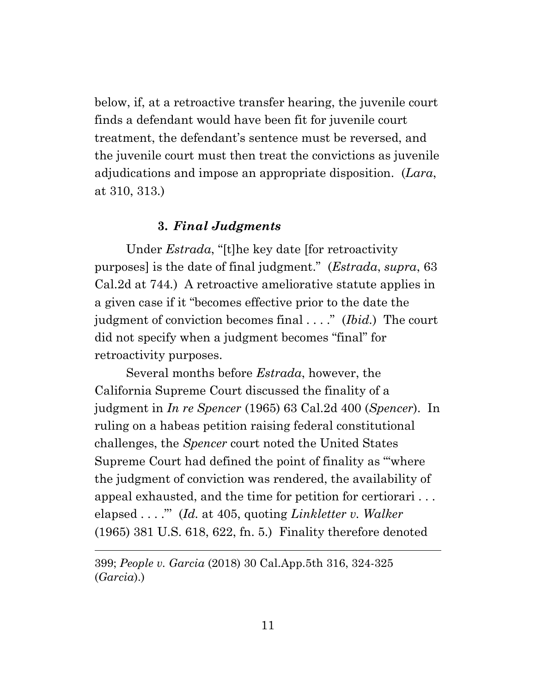below, if, at a retroactive transfer hearing, the juvenile court finds a defendant would have been fit for juvenile court treatment, the defendant's sentence must be reversed, and the juvenile court must then treat the convictions as juvenile adjudications and impose an appropriate disposition. (*Lara*, at 310, 313.)

#### **3.** *Final Judgments*

Under *Estrada*, "[t]he key date [for retroactivity purposes] is the date of final judgment." (*Estrada*, *supra*, 63 Cal.2d at 744*.*) A retroactive ameliorative statute applies in a given case if it "becomes effective prior to the date the judgment of conviction becomes final . . . ." (*Ibid.*) The court did not specify when a judgment becomes "final" for retroactivity purposes.

Several months before *Estrada*, however, the California Supreme Court discussed the finality of a judgment in *In re Spencer* (1965) 63 Cal.2d 400 (*Spencer*). In ruling on a habeas petition raising federal constitutional challenges, the *Spencer* court noted the United States Supreme Court had defined the point of finality as "'where the judgment of conviction was rendered, the availability of appeal exhausted, and the time for petition for certiorari . . . elapsed . . . ."' (*Id.* at 405, quoting *Linkletter v. Walker* (1965) 381 U.S. 618, 622, fn. 5.) Finality therefore denoted

399; *People v. Garcia* (2018) 30 Cal.App.5th 316, 324-325 (*Garcia*).)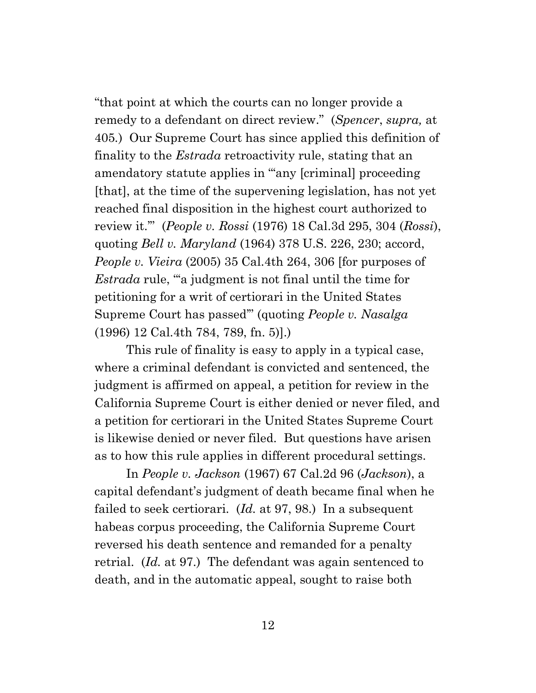"that point at which the courts can no longer provide a remedy to a defendant on direct review." (*Spencer*, *supra,* at 405*.*) Our Supreme Court has since applied this definition of finality to the *Estrada* retroactivity rule, stating that an amendatory statute applies in "'any [criminal] proceeding [that], at the time of the supervening legislation, has not yet reached final disposition in the highest court authorized to review it.'" (*People v. Rossi* (1976) 18 Cal.3d 295, 304 (*Rossi*), quoting *Bell v. Maryland* (1964) 378 U.S. 226, 230; accord, *People v. Vieira* (2005) 35 Cal.4th 264, 306 [for purposes of *Estrada* rule, ""a judgment is not final until the time for petitioning for a writ of certiorari in the United States Supreme Court has passed'" (quoting *People v. Nasalga* (1996) 12 Cal.4th 784, 789, fn. 5)].)

This rule of finality is easy to apply in a typical case, where a criminal defendant is convicted and sentenced, the judgment is affirmed on appeal, a petition for review in the California Supreme Court is either denied or never filed, and a petition for certiorari in the United States Supreme Court is likewise denied or never filed. But questions have arisen as to how this rule applies in different procedural settings.

In *People v. Jackson* (1967) 67 Cal.2d 96 (*Jackson*), a capital defendant's judgment of death became final when he failed to seek certiorari. (*Id.* at 97, 98.) In a subsequent habeas corpus proceeding, the California Supreme Court reversed his death sentence and remanded for a penalty retrial. (*Id.* at 97.) The defendant was again sentenced to death, and in the automatic appeal, sought to raise both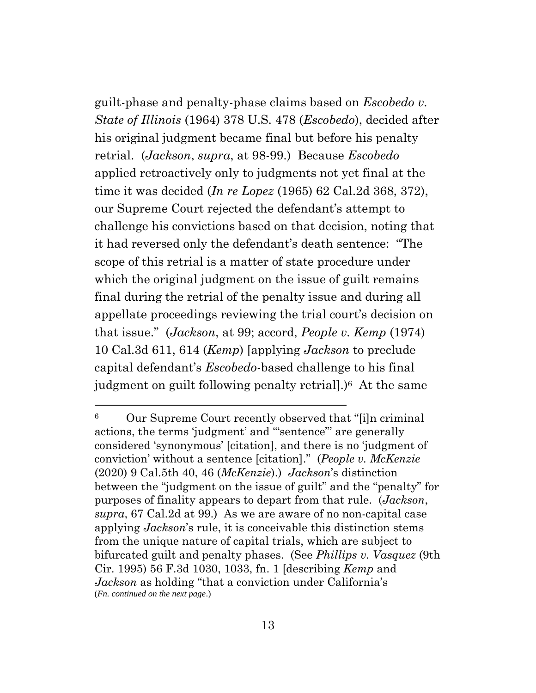guilt-phase and penalty-phase claims based on *Escobedo v. State of Illinois* (1964) 378 U.S. 478 (*Escobedo*), decided after his original judgment became final but before his penalty retrial. (*Jackson*, *supra*, at 98-99.) Because *Escobedo* applied retroactively only to judgments not yet final at the time it was decided (*In re Lopez* (1965) 62 Cal.2d 368, 372), our Supreme Court rejected the defendant's attempt to challenge his convictions based on that decision, noting that it had reversed only the defendant's death sentence: "The scope of this retrial is a matter of state procedure under which the original judgment on the issue of guilt remains final during the retrial of the penalty issue and during all appellate proceedings reviewing the trial court's decision on that issue." (*Jackson*, at 99; accord, *People v. Kemp* (1974) 10 Cal.3d 611, 614 (*Kemp*) [applying *Jackson* to preclude capital defendant's *Escobedo*-based challenge to his final judgment on guilt following penalty retrial].)6 At the same

<sup>6</sup> Our Supreme Court recently observed that "[i]n criminal actions, the terms 'judgment' and '"sentence"' are generally considered 'synonymous' [citation], and there is no 'judgment of conviction' without a sentence [citation]." (*People v. McKenzie* (2020) 9 Cal.5th 40, 46 (*McKenzie*).) *Jackson*'s distinction between the "judgment on the issue of guilt" and the "penalty" for purposes of finality appears to depart from that rule. (*Jackson*, *supra*, 67 Cal.2d at 99.) As we are aware of no non-capital case applying *Jackson*'s rule, it is conceivable this distinction stems from the unique nature of capital trials, which are subject to bifurcated guilt and penalty phases. (See *Phillips v. Vasquez* (9th Cir. 1995) 56 F.3d 1030, 1033, fn. 1 [describing *Kemp* and *Jackson* as holding "that a conviction under California's (*Fn. continued on the next page*.)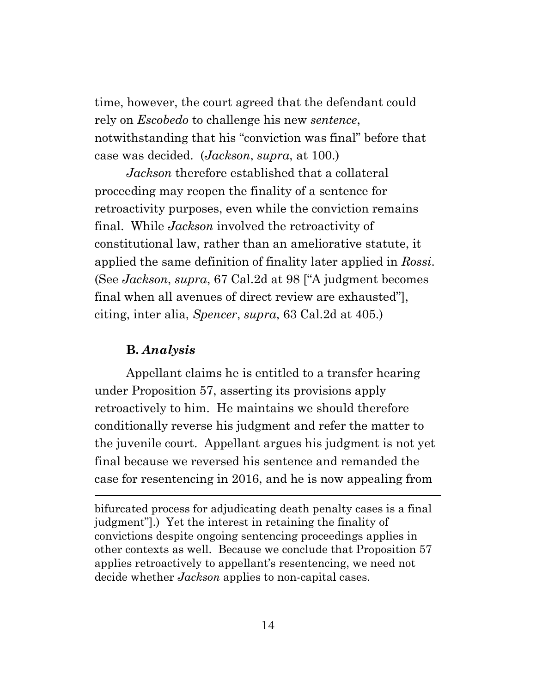time, however, the court agreed that the defendant could rely on *Escobedo* to challenge his new *sentence*, notwithstanding that his "conviction was final" before that case was decided. (*Jackson*, *supra*, at 100.)

*Jackson* therefore established that a collateral proceeding may reopen the finality of a sentence for retroactivity purposes, even while the conviction remains final. While *Jackson* involved the retroactivity of constitutional law, rather than an ameliorative statute, it applied the same definition of finality later applied in *Rossi*. (See *Jackson*, *supra*, 67 Cal.2d at 98 ["A judgment becomes final when all avenues of direct review are exhausted"], citing, inter alia, *Spencer*, *supra*, 63 Cal.2d at 405.)

#### **B.** *Analysis*

Appellant claims he is entitled to a transfer hearing under Proposition 57, asserting its provisions apply retroactively to him. He maintains we should therefore conditionally reverse his judgment and refer the matter to the juvenile court. Appellant argues his judgment is not yet final because we reversed his sentence and remanded the case for resentencing in 2016, and he is now appealing from

bifurcated process for adjudicating death penalty cases is a final judgment"].) Yet the interest in retaining the finality of convictions despite ongoing sentencing proceedings applies in other contexts as well. Because we conclude that Proposition 57 applies retroactively to appellant's resentencing, we need not decide whether *Jackson* applies to non-capital cases.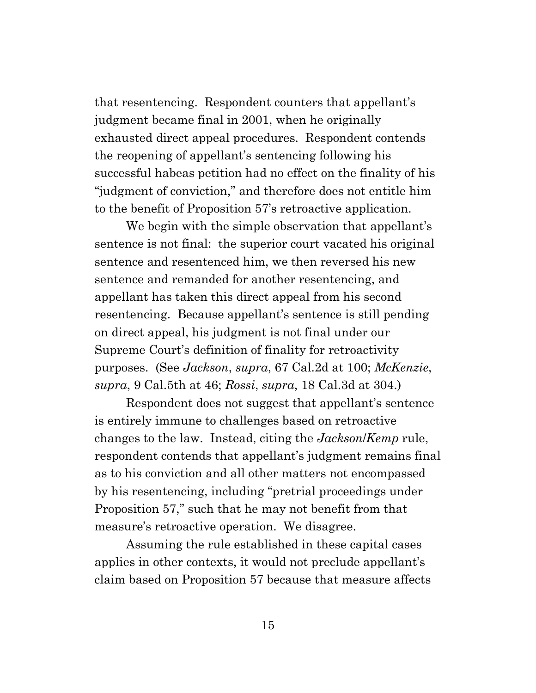that resentencing. Respondent counters that appellant's judgment became final in 2001, when he originally exhausted direct appeal procedures. Respondent contends the reopening of appellant's sentencing following his successful habeas petition had no effect on the finality of his "judgment of conviction," and therefore does not entitle him to the benefit of Proposition 57's retroactive application.

We begin with the simple observation that appellant's sentence is not final: the superior court vacated his original sentence and resentenced him, we then reversed his new sentence and remanded for another resentencing, and appellant has taken this direct appeal from his second resentencing. Because appellant's sentence is still pending on direct appeal, his judgment is not final under our Supreme Court's definition of finality for retroactivity purposes. (See *Jackson*, *supra*, 67 Cal.2d at 100; *McKenzie*, *supra*, 9 Cal.5th at 46; *Rossi*, *supra*, 18 Cal.3d at 304.)

Respondent does not suggest that appellant's sentence is entirely immune to challenges based on retroactive changes to the law. Instead, citing the *Jackson*/*Kemp* rule, respondent contends that appellant's judgment remains final as to his conviction and all other matters not encompassed by his resentencing, including "pretrial proceedings under Proposition 57," such that he may not benefit from that measure's retroactive operation. We disagree.

Assuming the rule established in these capital cases applies in other contexts, it would not preclude appellant's claim based on Proposition 57 because that measure affects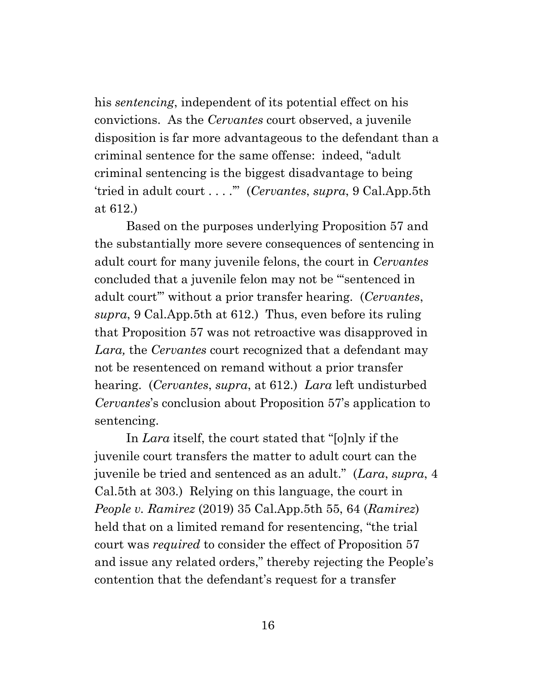his *sentencing*, independent of its potential effect on his convictions. As the *Cervantes* court observed, a juvenile disposition is far more advantageous to the defendant than a criminal sentence for the same offense: indeed, "adult criminal sentencing is the biggest disadvantage to being 'tried in adult court . . . .'" (*Cervantes*, *supra*, 9 Cal.App.5th at 612.)

Based on the purposes underlying Proposition 57 and the substantially more severe consequences of sentencing in adult court for many juvenile felons, the court in *Cervantes* concluded that a juvenile felon may not be "'sentenced in adult court'" without a prior transfer hearing. (*Cervantes*, *supra*, 9 Cal.App.5th at 612.) Thus, even before its ruling that Proposition 57 was not retroactive was disapproved in *Lara,* the *Cervantes* court recognized that a defendant may not be resentenced on remand without a prior transfer hearing. (*Cervantes*, *supra*, at 612.) *Lara* left undisturbed *Cervantes*'s conclusion about Proposition 57's application to sentencing.

In *Lara* itself, the court stated that "[o]nly if the juvenile court transfers the matter to adult court can the juvenile be tried and sentenced as an adult." (*Lara*, *supra*, 4 Cal.5th at 303.) Relying on this language, the court in *People v. Ramirez* (2019) 35 Cal.App.5th 55, 64 (*Ramirez*) held that on a limited remand for resentencing, "the trial court was *required* to consider the effect of Proposition 57 and issue any related orders," thereby rejecting the People's contention that the defendant's request for a transfer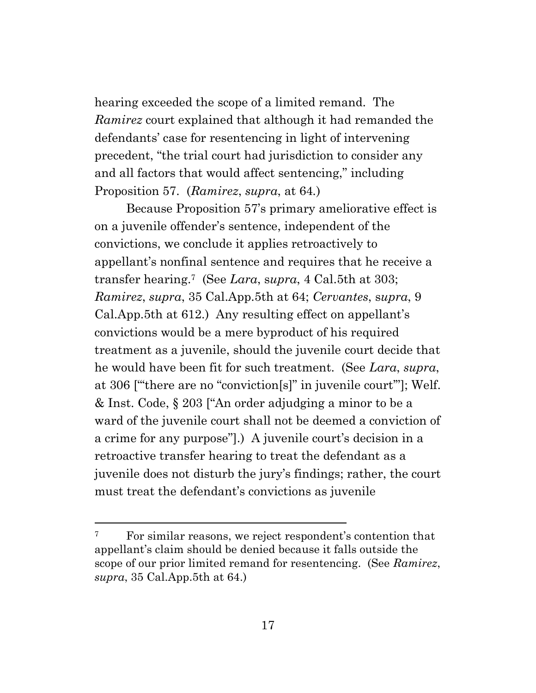hearing exceeded the scope of a limited remand. The *Ramirez* court explained that although it had remanded the defendants' case for resentencing in light of intervening precedent, "the trial court had jurisdiction to consider any and all factors that would affect sentencing," including Proposition 57. (*Ramirez*, *supra*, at 64*.*)

Because Proposition 57's primary ameliorative effect is on a juvenile offender's sentence, independent of the convictions, we conclude it applies retroactively to appellant's nonfinal sentence and requires that he receive a transfer hearing.7 (See *Lara*, s*upra*, 4 Cal.5th at 303; *Ramirez*, *supra*, 35 Cal.App.5th at 64; *Cervantes*, s*upra*, 9 Cal.App.5th at 612.) Any resulting effect on appellant's convictions would be a mere byproduct of his required treatment as a juvenile, should the juvenile court decide that he would have been fit for such treatment. (See *Lara*, *supra*, at 306 ["'there are no "conviction[s]" in juvenile court'"]; Welf. & Inst. Code, § 203 ["An order adjudging a minor to be a ward of the juvenile court shall not be deemed a conviction of a crime for any purpose"].) A juvenile court's decision in a retroactive transfer hearing to treat the defendant as a juvenile does not disturb the jury's findings; rather, the court must treat the defendant's convictions as juvenile

<sup>7</sup> For similar reasons, we reject respondent's contention that appellant's claim should be denied because it falls outside the scope of our prior limited remand for resentencing. (See *Ramirez*, *supra*, 35 Cal.App.5th at 64.)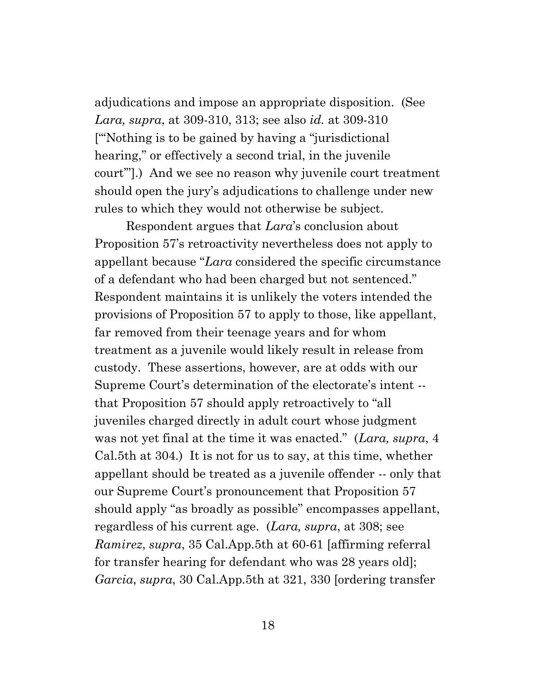adjudications and impose an appropriate disposition. (See *Lara, supra*, at 309-310, 313; see also *id.* at 309-310 ["'Nothing is to be gained by having a "jurisdictional hearing," or effectively a second trial, in the juvenile court'"].) And we see no reason why juvenile court treatment should open the jury's adjudications to challenge under new rules to which they would not otherwise be subject.

Respondent argues that *Lara*'s conclusion about Proposition 57's retroactivity nevertheless does not apply to appellant because "*Lara* considered the specific circumstance of a defendant who had been charged but not sentenced." Respondent maintains it is unlikely the voters intended the provisions of Proposition 57 to apply to those, like appellant, far removed from their teenage years and for whom treatment as a juvenile would likely result in release from custody. These assertions, however, are at odds with our Supreme Court's determination of the electorate's intent - that Proposition 57 should apply retroactively to "all juveniles charged directly in adult court whose judgment was not yet final at the time it was enacted." (*Lara, supra*, 4 Cal.5th at 304.) It is not for us to say, at this time, whether appellant should be treated as a juvenile offender -- only that our Supreme Court's pronouncement that Proposition 57 should apply "as broadly as possible" encompasses appellant, regardless of his current age. (*Lara, supra*, at 308; see *Ramirez*, *supra*, 35 Cal.App.5th at 60-61 [affirming referral for transfer hearing for defendant who was 28 years old]; *Garcia*, *supra*, 30 Cal.App.5th at 321, 330 [ordering transfer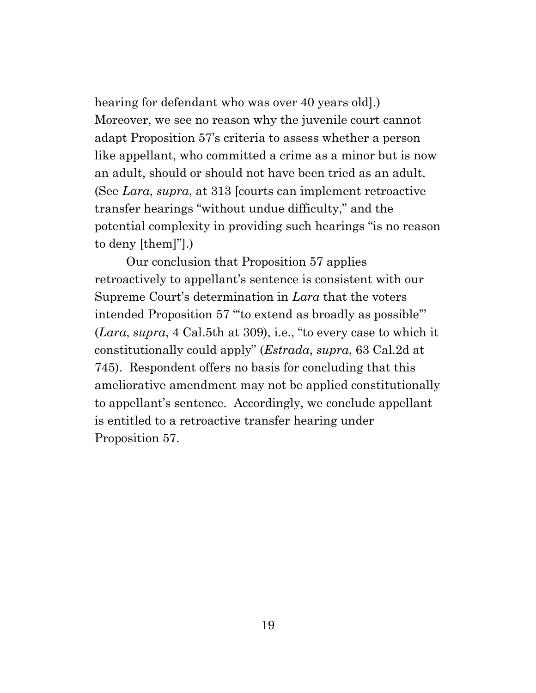hearing for defendant who was over 40 years old].) Moreover, we see no reason why the juvenile court cannot adapt Proposition 57's criteria to assess whether a person like appellant, who committed a crime as a minor but is now an adult, should or should not have been tried as an adult. (See *Lara*, *supra*, at 313 [courts can implement retroactive transfer hearings "without undue difficulty," and the potential complexity in providing such hearings "is no reason to deny [them]"].)

Our conclusion that Proposition 57 applies retroactively to appellant's sentence is consistent with our Supreme Court's determination in *Lara* that the voters intended Proposition 57 "'to extend as broadly as possible'" (*Lara*, *supra*, 4 Cal.5th at 309), i.e., "to every case to which it constitutionally could apply" (*Estrada*, *supra*, 63 Cal.2d at 745). Respondent offers no basis for concluding that this ameliorative amendment may not be applied constitutionally to appellant's sentence. Accordingly, we conclude appellant is entitled to a retroactive transfer hearing under Proposition 57.